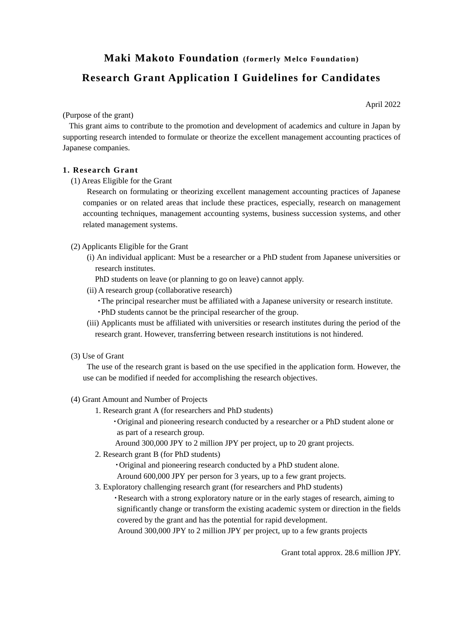## **Maki Makoto Foundation (formerly Melco Foundation)**

# **Research Grant Application I Guidelines for Candidates**

(Purpose of the grant)

This grant aims to contribute to the promotion and development of academics and culture in Japan by supporting research intended to formulate or theorize the excellent management accounting practices of Japanese companies.

#### **1. Research Grant**

(1) Areas Eligible for the Grant

Research on formulating or theorizing excellent management accounting practices of Japanese companies or on related areas that include these practices, especially, research on management accounting techniques, management accounting systems, business succession systems, and other related management systems.

- (2) Applicants Eligible for the Grant
	- (i) An individual applicant: Must be a researcher or a PhD student from Japanese universities or research institutes.
		- PhD students on leave (or planning to go on leave) cannot apply.
	- (ii) A research group (collaborative research)
		- ・The principal researcher must be affiliated with a Japanese university or research institute.
		- ・PhD students cannot be the principal researcher of the group.
	- (iii) Applicants must be affiliated with universities or research institutes during the period of the research grant. However, transferring between research institutions is not hindered.
- (3) Use of Grant

The use of the research grant is based on the use specified in the application form. However, the use can be modified if needed for accomplishing the research objectives.

- (4) Grant Amount and Number of Projects
	- 1. Research grant A (for researchers and PhD students)
		- ・Original and pioneering research conducted by a researcher or a PhD student alone or as part of a research group.
		- Around 300,000 JPY to 2 million JPY per project, up to 20 grant projects.
	- 2. Research grant B (for PhD students)

・Original and pioneering research conducted by a PhD student alone.

Around 600,000 JPY per person for 3 years, up to a few grant projects.

- 3. Exploratory challenging research grant (for researchers and PhD students)
	- ・Research with a strong exploratory nature or in the early stages of research, aiming to significantly change or transform the existing academic system or direction in the fields covered by the grant and has the potential for rapid development.
	- Around 300,000 JPY to 2 million JPY per project, up to a few grants projects

Grant total approx. 28.6 million JPY.

April 2022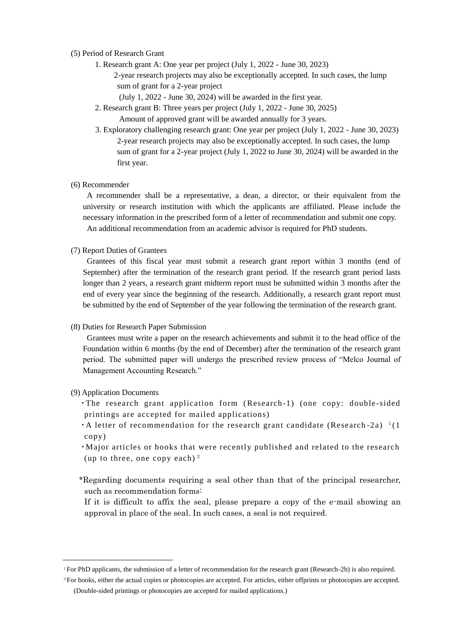#### (5) Period of Research Grant

- 1. Research grant A: One year per project (July 1, 2022 June 30, 2023)
	- 2-year research projects may also be exceptionally accepted. In such cases, the lump sum of grant for a 2-year project
		- (July 1, 2022 June 30, 2024) will be awarded in the first year.
	- 2. Research grant B: Three years per project (July 1, 2022 June 30, 2025) Amount of approved grant will be awarded annually for 3 years.
	- 3. Exploratory challenging research grant: One year per project (July 1, 2022 June 30, 2023) 2-year research projects may also be exceptionally accepted. In such cases, the lump sum of grant for a 2-year project (July 1, 2022 to June 30, 2024) will be awarded in the first year.

## (6) Recommender

A recommender shall be a representative, a dean, a director, or their equivalent from the university or research institution with which the applicants are affiliated. Please include the necessary information in the prescribed form of a letter of recommendation and submit one copy. An additional recommendation from an academic advisor is required for PhD students.

#### (7) Report Duties of Grantees

Grantees of this fiscal year must submit a research grant report within 3 months (end of September) after the termination of the research grant period. If the research grant period lasts longer than 2 years, a research grant midterm report must be submitted within 3 months after the end of every year since the beginning of the research. Additionally, a research grant report must be submitted by the end of September of the year following the termination of the research grant.

#### (8) Duties for Research Paper Submission

Grantees must write a paper on the research achievements and submit it to the head office of the Foundation within 6 months (by the end of December) after the termination of the research grant period. The submitted paper will undergo the prescribed review process of "Melco Journal of Management Accounting Research."

#### (9) Application Documents

- ・The research grant application form (Research-1) (one copy: double -sided printings are accepted for mailed applications)
- A letter of recommendation for the research grant candidate (Research -2a)  $\frac{1}{1}$ (1) copy)
- ・Major articles or books that were recently published and related to the research (up to three, one copy each)  $2$
- \*Regarding documents requiring a seal other than that of the principal researcher, such as recommendation forms:
	- If it is difficult to affix the seal, please prepare a copy of the e-mail showing an approval in place of the seal. In such cases, a seal is not required.

<sup>1</sup>For PhD applicants, the submission of a letter of recommendation for the research grant (Research-2b) is also required.

<sup>2</sup>For books, either the actual copies or photocopies are accepted. For articles, either offprints or photocopies are accepted. (Double-sided printings or photocopies are accepted for mailed applications.)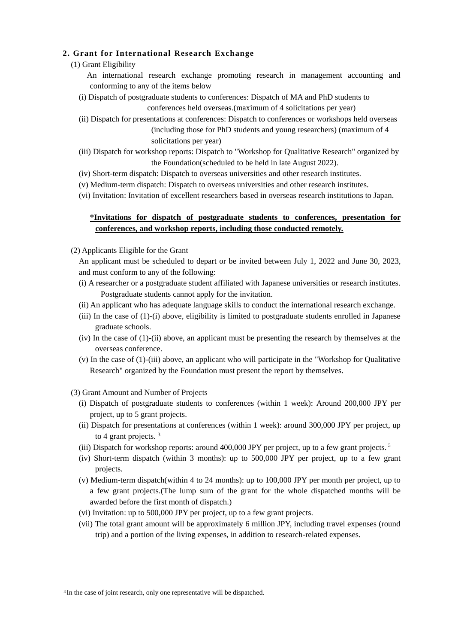## **2. Grant for International Research Exchange**

- (1) Grant Eligibility
	- An international research exchange promoting research in management accounting and conforming to any of the items below
	- (i) Dispatch of postgraduate students to conferences: Dispatch of MA and PhD students to conferences held overseas.(maximum of 4 solicitations per year)
	- (ii) Dispatch for presentations at conferences: Dispatch to conferences or workshops held overseas (including those for PhD students and young researchers) (maximum of 4 solicitations per year)
	- (iii) Dispatch for workshop reports: Dispatch to "Workshop for Qualitative Research" organized by the Foundation(scheduled to be held in late August 2022).
	- (iv) Short-term dispatch: Dispatch to overseas universities and other research institutes.
	- (v) Medium-term dispatch: Dispatch to overseas universities and other research institutes.
	- (vi) Invitation: Invitation of excellent researchers based in overseas research institutions to Japan.

## **\*Invitations for dispatch of postgraduate students to conferences, presentation for conferences, and workshop reports, including those conducted remotely.**

(2) Applicants Eligible for the Grant

An applicant must be scheduled to depart or be invited between July 1, 2022 and June 30, 2023, and must conform to any of the following:

- (i) A researcher or a postgraduate student affiliated with Japanese universities or research institutes. Postgraduate students cannot apply for the invitation.
- (ii) An applicant who has adequate language skills to conduct the international research exchange.
- (iii) In the case of (1)-(i) above, eligibility is limited to postgraduate students enrolled in Japanese graduate schools.
- (iv) In the case of (1)-(ii) above, an applicant must be presenting the research by themselves at the overseas conference.
- (v) In the case of (1)-(iii) above, an applicant who will participate in the "Workshop for Qualitative Research" organized by the Foundation must present the report by themselves.
- (3) Grant Amount and Number of Projects
	- (i) Dispatch of postgraduate students to conferences (within 1 week): Around 200,000 JPY per project, up to 5 grant projects.
	- (ii) Dispatch for presentations at conferences (within 1 week): around 300,000 JPY per project, up to 4 grant projects. <sup>3</sup>
	- (iii) Dispatch for workshop reports: around 400,000 JPY per project, up to a few grant projects.<sup>3</sup>
	- (iv) Short-term dispatch (within 3 months): up to 500,000 JPY per project, up to a few grant projects.
	- (v) Medium-term dispatch(within 4 to 24 months): up to 100,000 JPY per month per project, up to a few grant projects.(The lump sum of the grant for the whole dispatched months will be awarded before the first month of dispatch.)
	- (vi) Invitation: up to 500,000 JPY per project, up to a few grant projects.
	- (vii) The total grant amount will be approximately 6 million JPY, including travel expenses (round trip) and a portion of the living expenses, in addition to research-related expenses.

 $\overline{a}$ 

<sup>3</sup>In the case of joint research, only one representative will be dispatched.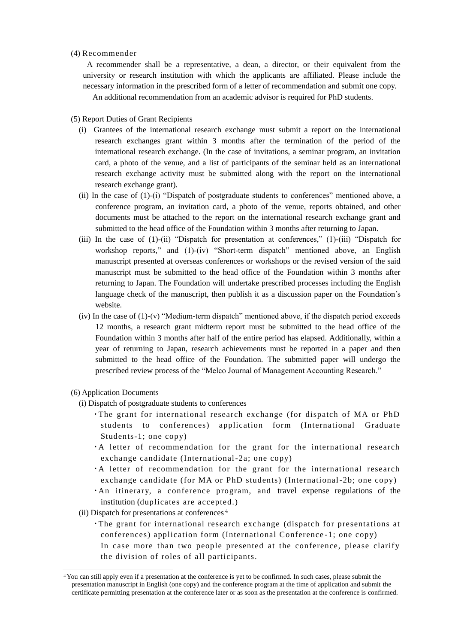### (4) Recommender

A recommender shall be a representative, a dean, a director, or their equivalent from the university or research institution with which the applicants are affiliated. Please include the necessary information in the prescribed form of a letter of recommendation and submit one copy.

An additional recommendation from an academic advisor is required for PhD students.

#### (5) Report Duties of Grant Recipients

- (i) Grantees of the international research exchange must submit a report on the international research exchanges grant within 3 months after the termination of the period of the international research exchange. (In the case of invitations, a seminar program, an invitation card, a photo of the venue, and a list of participants of the seminar held as an international research exchange activity must be submitted along with the report on the international research exchange grant).
- (ii) In the case of (1)-(i) "Dispatch of postgraduate students to conferences" mentioned above, a conference program, an invitation card, a photo of the venue, reports obtained, and other documents must be attached to the report on the international research exchange grant and submitted to the head office of the Foundation within 3 months after returning to Japan.
- (iii) In the case of (1)-(ii) "Dispatch for presentation at conferences," (1)-(iii) "Dispatch for workshop reports," and (1)-(iv) "Short-term dispatch" mentioned above, an English manuscript presented at overseas conferences or workshops or the revised version of the said manuscript must be submitted to the head office of the Foundation within 3 months after returning to Japan. The Foundation will undertake prescribed processes including the English language check of the manuscript, then publish it as a discussion paper on the Foundation's website.
- (iv) In the case of  $(1)-(v)$  "Medium-term dispatch" mentioned above, if the dispatch period exceeds 12 months, a research grant midterm report must be submitted to the head office of the Foundation within 3 months after half of the entire period has elapsed. Additionally, within a year of returning to Japan, research achievements must be reported in a paper and then submitted to the head office of the Foundation. The submitted paper will undergo the prescribed review process of the "Melco Journal of Management Accounting Research."

(6) Application Documents

 $\overline{a}$ 

- (i) Dispatch of postgraduate students to conferences
	- ・The grant for international research exchange (for dispatch of MA or PhD students to conferences) application form (International Graduate Students-1; one copy)
	- ・A letter of recommendation for the grant for the international research exchange candidate (International-2a; one copy)
	- ・A letter of recommendation for the grant for the international research exchange candidate (for MA or PhD students) (International-2b; one copy)
	- ・An itinerary, a conference program, and travel expense regulations of the institution (duplicates are accepted.)
- (ii) Dispatch for presentations at conferences  $4$ 
	- ・The grant for international research exchange (dispatch for presentations at conferences) application form (International Conference -1; one copy) In case more than two people presented at the conference, please clarify the division of roles of all participants.

<sup>4</sup>You can still apply even if a presentation at the conference is yet to be confirmed. In such cases, please submit the presentation manuscript in English (one copy) and the conference program at the time of application and submit the certificate permitting presentation at the conference later or as soon as the presentation at the conference is confirmed.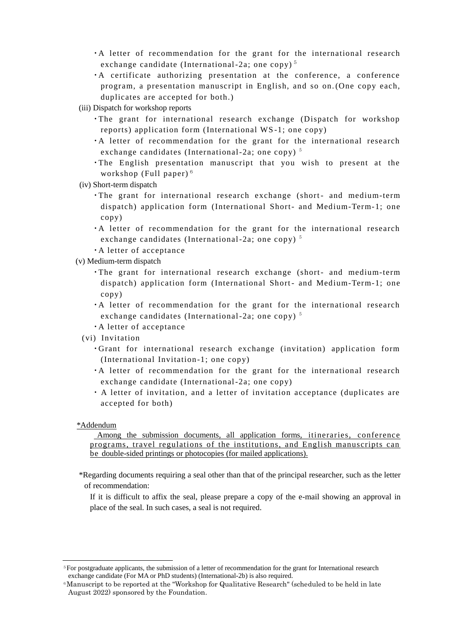- $\cdot$  A letter of recommendation for the grant for the international research exchange candidate (International-2a; one copy)<sup>5</sup>
- ・A certificate authorizing presentation at the conference, a conference program, a presentation manuscript in English, and so on.(One copy each, duplicates are accepted for both.)
- (iii) Dispatch for workshop reports
	- ・The grant for international research exchange (Dispatch for workshop reports) application form (International WS -1; one copy)
	- ・A letter of recommendation for the grant for the international research exchange candidates (International-2a; one copy)  $5$
	- ・The English presentation manuscript that you wish to present at the workshop (Full paper) <sup>6</sup>
- (iv) Short-term dispatch
	- ・The grant for international research exchange (short- and medium-term dispatch) application form (International Short- and Medium-Term-1; one copy)
	- ・A letter of recommendation for the grant for the international research exchange candidates (International-2a; one copy)  $5$
	- ・A letter of acceptance
- (v) Medium-term dispatch
	- ・The grant for international research exchange (short- and medium-term dispatch) application form (International Short- and Medium-Term-1; one copy)
	- ・A letter of recommendation for the grant for the international research exchange candidates (International-2a; one copy)  $5$
	- ・A letter of acceptance
	- (vi) Invitation
		- ・Grant for international research exchange (invitation) application form (International Invitation -1; one copy)
		- ・A letter of recommendation for the grant for the international research exchange candidate (International-2a; one copy)
		- ・ A letter of invitation, and a letter of invitation acceptance (duplicates are accepted for both)

#### \*Addendum

 $\overline{a}$ 

Among the submission documents, all application forms, itineraries, conference programs, travel regulations of the institutions, and English manuscripts can be double-sided printings or photocopies (for mailed applications).

\*Regarding documents requiring a seal other than that of the principal researcher, such as the letter of recommendation:

If it is difficult to affix the seal, please prepare a copy of the e-mail showing an approval in place of the seal. In such cases, a seal is not required.

<sup>5</sup>For postgraduate applicants, the submission of a letter of recommendation for the grant for International research exchange candidate (For MA or PhD students) (International-2b) is also required.

<sup>6</sup>Manuscript to be reported at the "Workshop for Qualitative Research" (scheduled to be held in late August 2022) sponsored by the Foundation.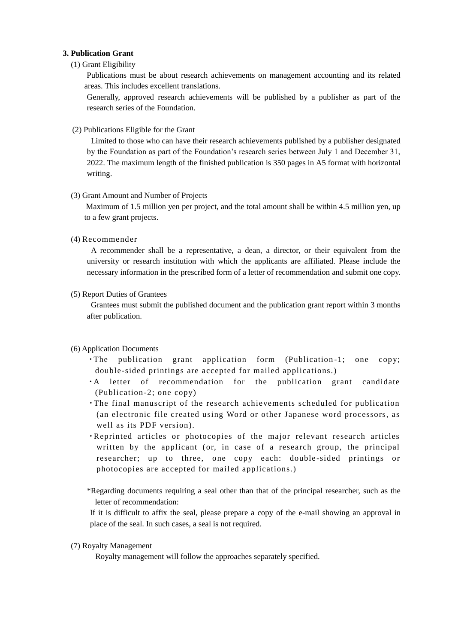## **3. Publication Grant**

## (1) Grant Eligibility

Publications must be about research achievements on management accounting and its related areas. This includes excellent translations.

Generally, approved research achievements will be published by a publisher as part of the research series of the Foundation.

(2) Publications Eligible for the Grant

Limited to those who can have their research achievements published by a publisher designated by the Foundation as part of the Foundation's research series between July 1 and December 31, 2022. The maximum length of the finished publication is 350 pages in A5 format with horizontal writing.

#### (3) Grant Amount and Number of Projects

 Maximum of 1.5 million yen per project, and the total amount shall be within 4.5 million yen, up to a few grant projects.

#### (4) Recommender

A recommender shall be a representative, a dean, a director, or their equivalent from the university or research institution with which the applicants are affiliated. Please include the necessary information in the prescribed form of a letter of recommendation and submit one copy.

#### (5) Report Duties of Grantees

Grantees must submit the published document and the publication grant report within 3 months after publication.

## (6) Application Documents

- ・The publication grant application form (Publication -1; one copy; double-sided printings are accepted for mailed applications.)
- ・A letter of recommendation for the publication grant candidate (Publication-2; one copy)
- ・The final manuscript of the research achievements scheduled for publication (an electronic file created using Word or other Japanese word processors, as well as its PDF version).
- ・Reprinted articles or photocopies of the major relevant research articles written by the applicant (or, in case of a research group, the principal researcher; up to three, one copy each: double-sided printings or photocopies are accepted for mailed applications.)
- \*Regarding documents requiring a seal other than that of the principal researcher, such as the letter of recommendation:

If it is difficult to affix the seal, please prepare a copy of the e-mail showing an approval in place of the seal. In such cases, a seal is not required.

(7) Royalty Management

Royalty management will follow the approaches separately specified.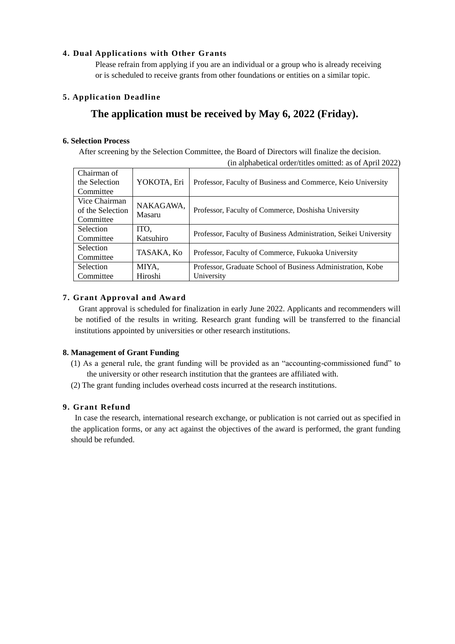## **4. Dual Applications with Other Grants**

Please refrain from applying if you are an individual or a group who is already receiving or is scheduled to receive grants from other foundations or entities on a similar topic.

## **5. Application Deadline**

# **The application must be received by May 6, 2022 (Friday).**

## **6. Selection Process**

After screening by the Selection Committee, the Board of Directors will finalize the decision. (in alphabetical order/titles omitted: as of April 2022)

| Chairman of      |                     |                                                                  |
|------------------|---------------------|------------------------------------------------------------------|
| the Selection    | YOKOTA, Eri         | Professor, Faculty of Business and Commerce, Keio University     |
| Committee        |                     |                                                                  |
| Vice Chairman    | NAKAGAWA,<br>Masaru | Professor, Faculty of Commerce, Doshisha University              |
| of the Selection |                     |                                                                  |
| Committee        |                     |                                                                  |
| <b>Selection</b> | ITO,                | Professor, Faculty of Business Administration, Seikei University |
| Committee        | Katsuhiro           |                                                                  |
| <b>Selection</b> |                     |                                                                  |
| Committee        | TASAKA, Ko          | Professor, Faculty of Commerce, Fukuoka University               |
| <b>Selection</b> | MIYA,               | Professor, Graduate School of Business Administration, Kobe      |
| Committee        | Hiroshi             | University                                                       |

## **7. Grant Approval and Award**

Grant approval is scheduled for finalization in early June 2022. Applicants and recommenders will be notified of the results in writing. Research grant funding will be transferred to the financial institutions appointed by universities or other research institutions.

## **8. Management of Grant Funding**

- (1) As a general rule, the grant funding will be provided as an "accounting-commissioned fund" to the university or other research institution that the grantees are affiliated with.
- (2) The grant funding includes overhead costs incurred at the research institutions.

## **9. Grant Refund**

In case the research, international research exchange, or publication is not carried out as specified in the application forms, or any act against the objectives of the award is performed, the grant funding should be refunded.